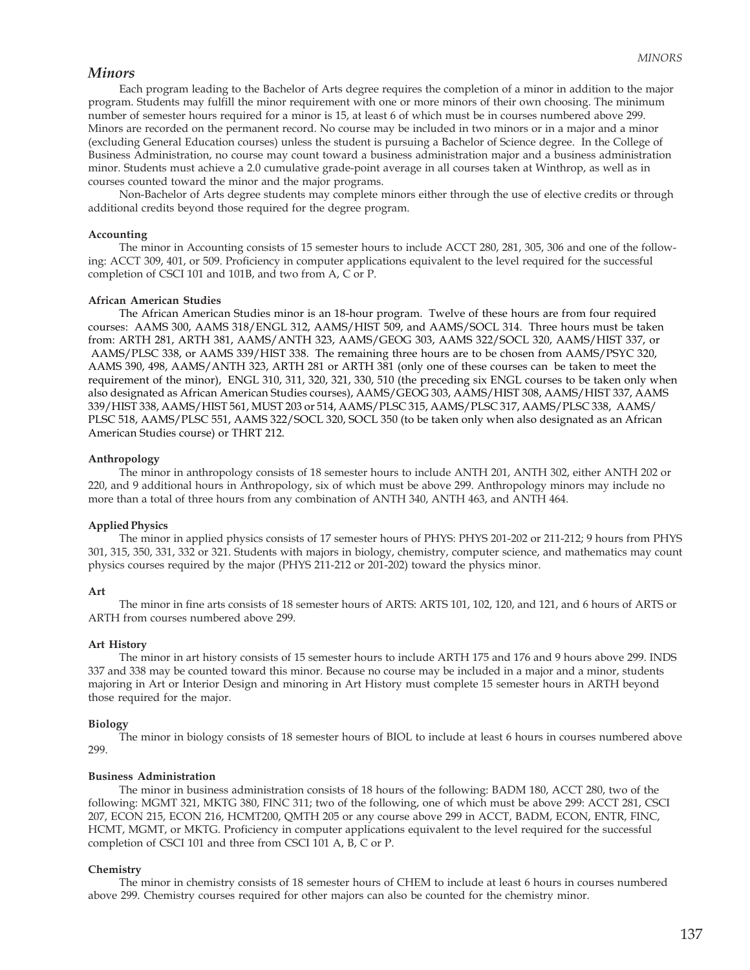## *Minors*

Each program leading to the Bachelor of Arts degree requires the completion of a minor in addition to the major program. Students may fulfill the minor requirement with one or more minors of their own choosing. The minimum number of semester hours required for a minor is 15, at least 6 of which must be in courses numbered above 299. Minors are recorded on the permanent record. No course may be included in two minors or in a major and a minor (excluding General Education courses) unless the student is pursuing a Bachelor of Science degree. In the College of Business Administration, no course may count toward a business administration major and a business administration minor. Students must achieve a 2.0 cumulative grade-point average in all courses taken at Winthrop, as well as in courses counted toward the minor and the major programs.

Non-Bachelor of Arts degree students may complete minors either through the use of elective credits or through additional credits beyond those required for the degree program.

#### **Accounting**

The minor in Accounting consists of 15 semester hours to include ACCT 280, 281, 305, 306 and one of the following: ACCT 309, 401, or 509. Proficiency in computer applications equivalent to the level required for the successful completion of CSCI 101 and 101B, and two from A, C or P.

#### **African American Studies**

The African American Studies minor is an 18-hour program. Twelve of these hours are from four required courses: AAMS 300, AAMS 318/ENGL 312, AAMS/HIST 509, and AAMS/SOCL 314. Three hours must be taken from: ARTH 281, ARTH 381, AAMS/ANTH 323, AAMS/GEOG 303, AAMS 322/SOCL 320, AAMS/HIST 337, or AAMS/PLSC 338, or AAMS 339/HIST 338. The remaining three hours are to be chosen from AAMS/PSYC 320, AAMS 390, 498, AAMS/ANTH 323, ARTH 281 or ARTH 381 (only one of these courses can be taken to meet the requirement of the minor), ENGL 310, 311, 320, 321, 330, 510 (the preceding six ENGL courses to be taken only when also designated as African American Studies courses), AAMS/GEOG 303, AAMS/HIST 308, AAMS/HIST 337, AAMS 339/HIST 338, AAMS/HIST 561, MUST 203 or 514, AAMS/PLSC 315, AAMS/PLSC 317, AAMS/PLSC 338, AAMS/ PLSC 518, AAMS/PLSC 551, AAMS 322/SOCL 320, SOCL 350 (to be taken only when also designated as an African American Studies course) or THRT 212.

### **Anthropology**

The minor in anthropology consists of 18 semester hours to include ANTH 201, ANTH 302, either ANTH 202 or 220, and 9 additional hours in Anthropology, six of which must be above 299. Anthropology minors may include no more than a total of three hours from any combination of ANTH 340, ANTH 463, and ANTH 464.

### **Applied Physics**

The minor in applied physics consists of 17 semester hours of PHYS: PHYS 201-202 or 211-212; 9 hours from PHYS 301, 315, 350, 331, 332 or 321. Students with majors in biology, chemistry, computer science, and mathematics may count physics courses required by the major (PHYS 211-212 or 201-202) toward the physics minor.

#### **Art**

The minor in fine arts consists of 18 semester hours of ARTS: ARTS 101, 102, 120, and 121, and 6 hours of ARTS or ARTH from courses numbered above 299.

#### **Art History**

The minor in art history consists of 15 semester hours to include ARTH 175 and 176 and 9 hours above 299. INDS 337 and 338 may be counted toward this minor. Because no course may be included in a major and a minor, students majoring in Art or Interior Design and minoring in Art History must complete 15 semester hours in ARTH beyond those required for the major.

#### **Biology**

The minor in biology consists of 18 semester hours of BIOL to include at least 6 hours in courses numbered above 299.

### **Business Administration**

The minor in business administration consists of 18 hours of the following: BADM 180, ACCT 280, two of the following: MGMT 321, MKTG 380, FINC 311; two of the following, one of which must be above 299: ACCT 281, CSCI 207, ECON 215, ECON 216, HCMT200, QMTH 205 or any course above 299 in ACCT, BADM, ECON, ENTR, FINC, HCMT, MGMT, or MKTG. Proficiency in computer applications equivalent to the level required for the successful completion of CSCI 101 and three from CSCI 101 A, B, C or P.

### **Chemistry**

The minor in chemistry consists of 18 semester hours of CHEM to include at least 6 hours in courses numbered above 299. Chemistry courses required for other majors can also be counted for the chemistry minor.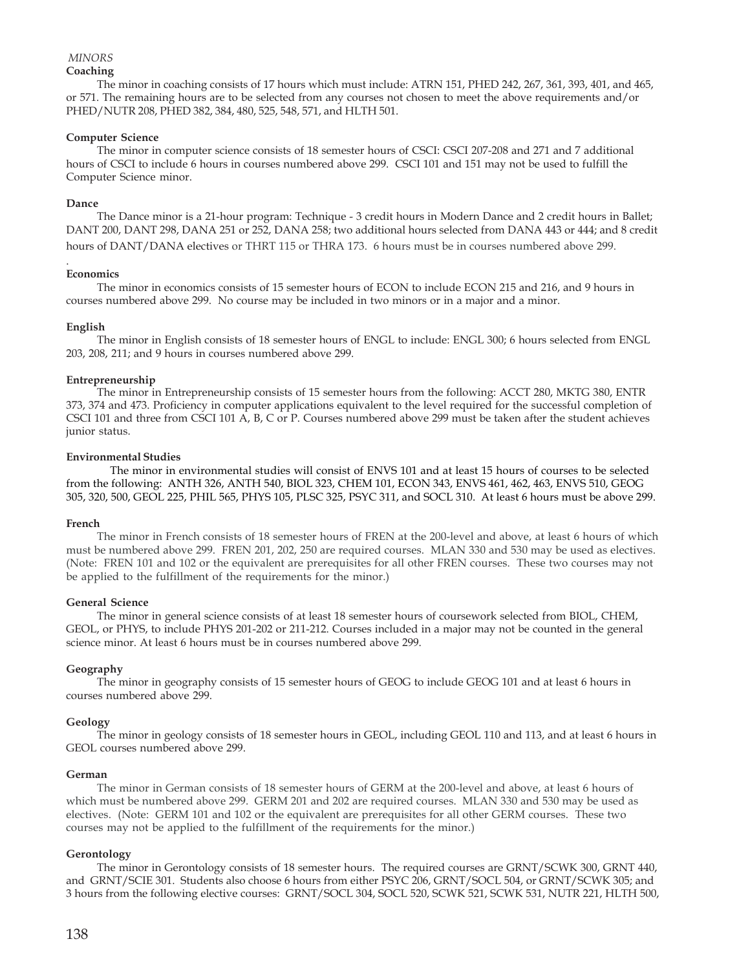# *MINORS*

## **Coaching**

The minor in coaching consists of 17 hours which must include: ATRN 151, PHED 242, 267, 361, 393, 401, and 465, or 571. The remaining hours are to be selected from any courses not chosen to meet the above requirements and/or PHED/NUTR 208, PHED 382, 384, 480, 525, 548, 571, and HLTH 501.

## **Computer Science**

The minor in computer science consists of 18 semester hours of CSCI: CSCI 207-208 and 271 and 7 additional hours of CSCI to include 6 hours in courses numbered above 299. CSCI 101 and 151 may not be used to fulfill the Computer Science minor.

# **Dance**

The Dance minor is a 21-hour program: Technique - 3 credit hours in Modern Dance and 2 credit hours in Ballet; DANT 200, DANT 298, DANA 251 or 252, DANA 258; two additional hours selected from DANA 443 or 444; and 8 credit hours of DANT/DANA electives or THRT 115 or THRA 173. 6 hours must be in courses numbered above 299.

#### . **Economics**

The minor in economics consists of 15 semester hours of ECON to include ECON 215 and 216, and 9 hours in courses numbered above 299. No course may be included in two minors or in a major and a minor.

# **English**

The minor in English consists of 18 semester hours of ENGL to include: ENGL 300; 6 hours selected from ENGL 203, 208, 211; and 9 hours in courses numbered above 299.

# **Entrepreneurship**

The minor in Entrepreneurship consists of 15 semester hours from the following: ACCT 280, MKTG 380, ENTR 373, 374 and 473. Proficiency in computer applications equivalent to the level required for the successful completion of CSCI 101 and three from CSCI 101 A, B, C or P. Courses numbered above 299 must be taken after the student achieves junior status.

## **Environmental Studies**

The minor in environmental studies will consist of ENVS 101 and at least 15 hours of courses to be selected from the following: ANTH 326, ANTH 540, BIOL 323, CHEM 101, ECON 343, ENVS 461, 462, 463, ENVS 510, GEOG 305, 320, 500, GEOL 225, PHIL 565, PHYS 105, PLSC 325, PSYC 311, and SOCL 310. At least 6 hours must be above 299.

## **French**

The minor in French consists of 18 semester hours of FREN at the 200-level and above, at least 6 hours of which must be numbered above 299. FREN 201, 202, 250 are required courses. MLAN 330 and 530 may be used as electives. (Note: FREN 101 and 102 or the equivalent are prerequisites for all other FREN courses. These two courses may not be applied to the fulfillment of the requirements for the minor.)

## **General Science**

The minor in general science consists of at least 18 semester hours of coursework selected from BIOL, CHEM, GEOL, or PHYS, to include PHYS 201-202 or 211-212. Courses included in a major may not be counted in the general science minor. At least 6 hours must be in courses numbered above 299.

## **Geography**

The minor in geography consists of 15 semester hours of GEOG to include GEOG 101 and at least 6 hours in courses numbered above 299.

# **Geology**

The minor in geology consists of 18 semester hours in GEOL, including GEOL 110 and 113, and at least 6 hours in GEOL courses numbered above 299.

## **German**

The minor in German consists of 18 semester hours of GERM at the 200-level and above, at least 6 hours of which must be numbered above 299. GERM 201 and 202 are required courses. MLAN 330 and 530 may be used as electives. (Note: GERM 101 and 102 or the equivalent are prerequisites for all other GERM courses. These two courses may not be applied to the fulfillment of the requirements for the minor.)

# **Gerontology**

The minor in Gerontology consists of 18 semester hours. The required courses are GRNT/SCWK 300, GRNT 440, and GRNT/SCIE 301. Students also choose 6 hours from either PSYC 206, GRNT/SOCL 504, or GRNT/SCWK 305; and 3 hours from the following elective courses: GRNT/SOCL 304, SOCL 520, SCWK 521, SCWK 531, NUTR 221, HLTH 500,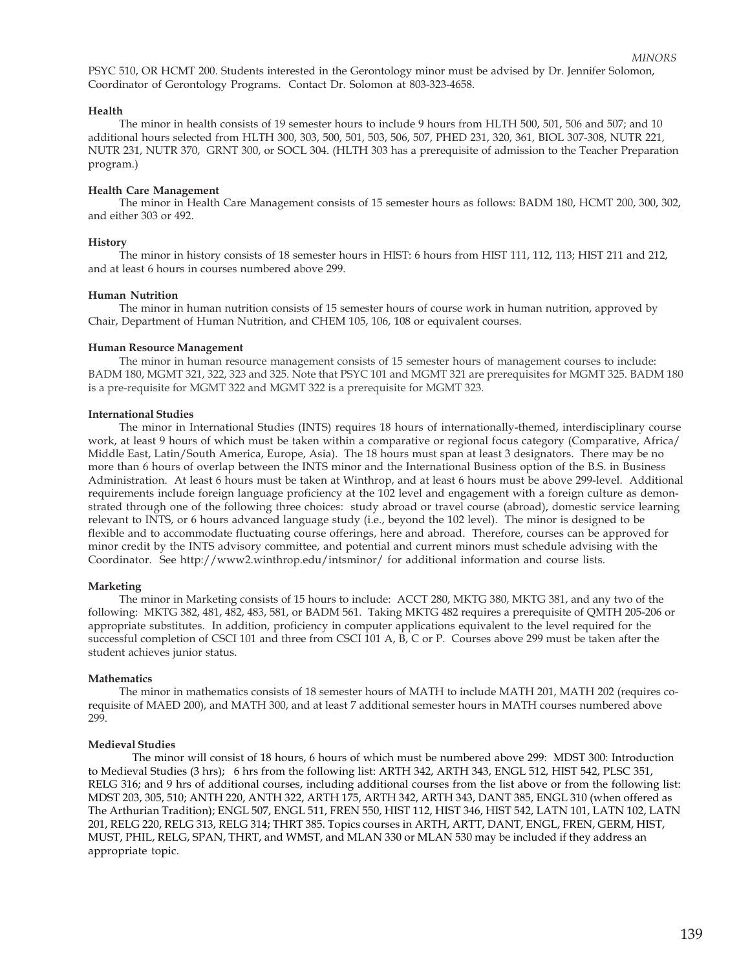PSYC 510, OR HCMT 200. Students interested in the Gerontology minor must be advised by Dr. Jennifer Solomon, Coordinator of Gerontology Programs. Contact Dr. Solomon at 803-323-4658.

### **Health**

The minor in health consists of 19 semester hours to include 9 hours from HLTH 500, 501, 506 and 507; and 10 additional hours selected from HLTH 300, 303, 500, 501, 503, 506, 507, PHED 231, 320, 361, BIOL 307-308, NUTR 221, NUTR 231, NUTR 370, GRNT 300, or SOCL 304. (HLTH 303 has a prerequisite of admission to the Teacher Preparation program.)

#### **Health Care Management**

The minor in Health Care Management consists of 15 semester hours as follows: BADM 180, HCMT 200, 300, 302, and either 303 or 492.

#### **History**

The minor in history consists of 18 semester hours in HIST: 6 hours from HIST 111, 112, 113; HIST 211 and 212, and at least 6 hours in courses numbered above 299.

### **Human Nutrition**

The minor in human nutrition consists of 15 semester hours of course work in human nutrition, approved by Chair, Department of Human Nutrition, and CHEM 105, 106, 108 or equivalent courses.

#### **Human Resource Management**

The minor in human resource management consists of 15 semester hours of management courses to include: BADM 180, MGMT 321, 322, 323 and 325. Note that PSYC 101 and MGMT 321 are prerequisites for MGMT 325. BADM 180 is a pre-requisite for MGMT 322 and MGMT 322 is a prerequisite for MGMT 323.

#### **International Studies**

The minor in International Studies (INTS) requires 18 hours of internationally-themed, interdisciplinary course work, at least 9 hours of which must be taken within a comparative or regional focus category (Comparative, Africa/ Middle East, Latin/South America, Europe, Asia). The 18 hours must span at least 3 designators. There may be no more than 6 hours of overlap between the INTS minor and the International Business option of the B.S. in Business Administration. At least 6 hours must be taken at Winthrop, and at least 6 hours must be above 299-level. Additional requirements include foreign language proficiency at the 102 level and engagement with a foreign culture as demonstrated through one of the following three choices: study abroad or travel course (abroad), domestic service learning relevant to INTS, or 6 hours advanced language study (i.e., beyond the 102 level). The minor is designed to be flexible and to accommodate fluctuating course offerings, here and abroad. Therefore, courses can be approved for minor credit by the INTS advisory committee, and potential and current minors must schedule advising with the Coordinator. See http://www2.winthrop.edu/intsminor/ for additional information and course lists.

### **Marketing**

The minor in Marketing consists of 15 hours to include: ACCT 280, MKTG 380, MKTG 381, and any two of the following: MKTG 382, 481, 482, 483, 581, or BADM 561. Taking MKTG 482 requires a prerequisite of QMTH 205-206 or appropriate substitutes. In addition, proficiency in computer applications equivalent to the level required for the successful completion of CSCI 101 and three from CSCI 101 A, B, C or P. Courses above 299 must be taken after the student achieves junior status.

#### **Mathematics**

The minor in mathematics consists of 18 semester hours of MATH to include MATH 201, MATH 202 (requires corequisite of MAED 200), and MATH 300, and at least 7 additional semester hours in MATH courses numbered above 299.

### **Medieval Studies**

The minor will consist of 18 hours, 6 hours of which must be numbered above 299: MDST 300: Introduction to Medieval Studies (3 hrs); 6 hrs from the following list: ARTH 342, ARTH 343, ENGL 512, HIST 542, PLSC 351, RELG 316; and 9 hrs of additional courses, including additional courses from the list above or from the following list: MDST 203, 305, 510; ANTH 220, ANTH 322, ARTH 175, ARTH 342, ARTH 343, DANT 385, ENGL 310 (when offered as The Arthurian Tradition); ENGL 507, ENGL 511, FREN 550, HIST 112, HIST 346, HIST 542, LATN 101, LATN 102, LATN 201, RELG 220, RELG 313, RELG 314; THRT 385. Topics courses in ARTH, ARTT, DANT, ENGL, FREN, GERM, HIST, MUST, PHIL, RELG, SPAN, THRT, and WMST, and MLAN 330 or MLAN 530 may be included if they address an appropriate topic.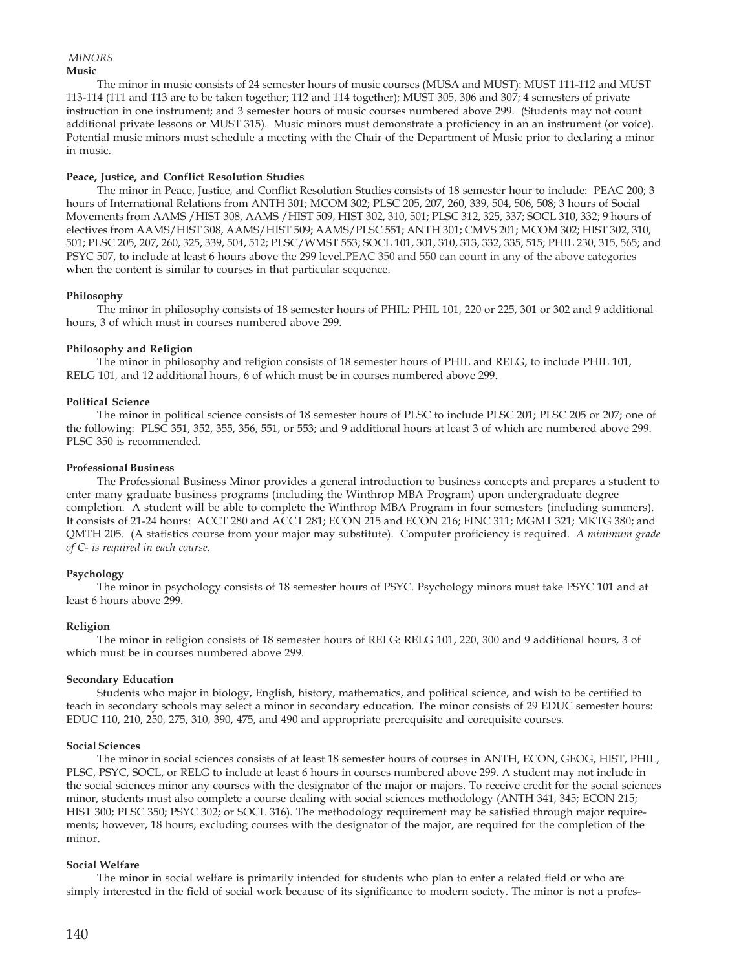### **Music**  *MINORS*

The minor in music consists of 24 semester hours of music courses (MUSA and MUST): MUST 111-112 and MUST 113-114 (111 and 113 are to be taken together; 112 and 114 together); MUST 305, 306 and 307; 4 semesters of private instruction in one instrument; and 3 semester hours of music courses numbered above 299. (Students may not count additional private lessons or MUST 315). Music minors must demonstrate a proficiency in an an instrument (or voice). Potential music minors must schedule a meeting with the Chair of the Department of Music prior to declaring a minor in music.

# **Peace, Justice, and Conflict Resolution Studies**

The minor in Peace, Justice, and Conflict Resolution Studies consists of 18 semester hour to include: PEAC 200; 3 hours of International Relations from ANTH 301; MCOM 302; PLSC 205, 207, 260, 339, 504, 506, 508; 3 hours of Social Movements from AAMS /HIST 308, AAMS /HIST 509, HIST 302, 310, 501; PLSC 312, 325, 337; SOCL 310, 332; 9 hours of electives from AAMS/HIST 308, AAMS/HIST 509; AAMS/PLSC 551; ANTH 301; CMVS 201; MCOM 302; HIST 302, 310, 501; PLSC 205, 207, 260, 325, 339, 504, 512; PLSC/WMST 553; SOCL 101, 301, 310, 313, 332, 335, 515; PHIL 230, 315, 565; and PSYC 507, to include at least 6 hours above the 299 level.PEAC 350 and 550 can count in any of the above categories when the content is similar to courses in that particular sequence.

# **Philosophy**

The minor in philosophy consists of 18 semester hours of PHIL: PHIL 101, 220 or 225, 301 or 302 and 9 additional hours, 3 of which must in courses numbered above 299.

# **Philosophy and Religion**

The minor in philosophy and religion consists of 18 semester hours of PHIL and RELG, to include PHIL 101, RELG 101, and 12 additional hours, 6 of which must be in courses numbered above 299.

# **Political Science**

The minor in political science consists of 18 semester hours of PLSC to include PLSC 201; PLSC 205 or 207; one of the following: PLSC 351, 352, 355, 356, 551, or 553; and 9 additional hours at least 3 of which are numbered above 299. PLSC 350 is recommended.

# **Professional Business**

The Professional Business Minor provides a general introduction to business concepts and prepares a student to enter many graduate business programs (including the Winthrop MBA Program) upon undergraduate degree completion. A student will be able to complete the Winthrop MBA Program in four semesters (including summers). It consists of 21-24 hours: ACCT 280 and ACCT 281; ECON 215 and ECON 216; FINC 311; MGMT 321; MKTG 380; and QMTH 205. (A statistics course from your major may substitute). Computer proficiency is required. *A minimum grade of C- is required in each course.*

# **Psychology**

The minor in psychology consists of 18 semester hours of PSYC. Psychology minors must take PSYC 101 and at least 6 hours above 299.

# **Religion**

The minor in religion consists of 18 semester hours of RELG: RELG 101, 220, 300 and 9 additional hours, 3 of which must be in courses numbered above 299.

## **Secondary Education**

Students who major in biology, English, history, mathematics, and political science, and wish to be certified to teach in secondary schools may select a minor in secondary education. The minor consists of 29 EDUC semester hours: EDUC 110, 210, 250, 275, 310, 390, 475, and 490 and appropriate prerequisite and corequisite courses.

## **Social Sciences**

The minor in social sciences consists of at least 18 semester hours of courses in ANTH, ECON, GEOG, HIST, PHIL, PLSC, PSYC, SOCL, or RELG to include at least 6 hours in courses numbered above 299. A student may not include in the social sciences minor any courses with the designator of the major or majors. To receive credit for the social sciences minor, students must also complete a course dealing with social sciences methodology (ANTH 341, 345; ECON 215; HIST 300; PLSC 350; PSYC 302; or SOCL 316). The methodology requirement may be satisfied through major requirements; however, 18 hours, excluding courses with the designator of the major, are required for the completion of the minor.

# **Social Welfare**

The minor in social welfare is primarily intended for students who plan to enter a related field or who are simply interested in the field of social work because of its significance to modern society. The minor is not a profes